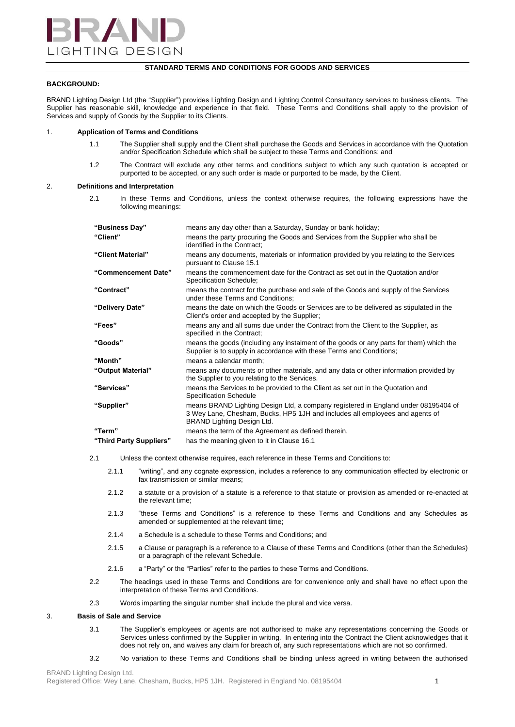

# **STANDARD TERMS AND CONDITIONS FOR GOODS AND SERVICES**

# **BACKGROUND:**

BRAND Lighting Design Ltd (the "Supplier") provides Lighting Design and Lighting Control Consultancy services to business clients. The Supplier has reasonable skill, knowledge and experience in that field. These Terms and Conditions shall apply to the provision of Services and supply of Goods by the Supplier to its Clients.

# 1. **Application of Terms and Conditions**

- 1.1 The Supplier shall supply and the Client shall purchase the Goods and Services in accordance with the Quotation and/or Specification Schedule which shall be subject to these Terms and Conditions; and
- 1.2 The Contract will exclude any other terms and conditions subject to which any such quotation is accepted or purported to be accepted, or any such order is made or purported to be made, by the Client.

# 2. **Definitions and Interpretation**

2.1 In these Terms and Conditions, unless the context otherwise requires, the following expressions have the following meanings:

| "Business Day"          | means any day other than a Saturday, Sunday or bank holiday;                                                                                                                                     |
|-------------------------|--------------------------------------------------------------------------------------------------------------------------------------------------------------------------------------------------|
| "Client"                | means the party procuring the Goods and Services from the Supplier who shall be<br>identified in the Contract:                                                                                   |
| "Client Material"       | means any documents, materials or information provided by you relating to the Services<br>pursuant to Clause 15.1                                                                                |
| "Commencement Date"     | means the commencement date for the Contract as set out in the Quotation and/or<br>Specification Schedule;                                                                                       |
| "Contract"              | means the contract for the purchase and sale of the Goods and supply of the Services<br>under these Terms and Conditions;                                                                        |
| "Delivery Date"         | means the date on which the Goods or Services are to be delivered as stipulated in the<br>Client's order and accepted by the Supplier;                                                           |
| "Fees"                  | means any and all sums due under the Contract from the Client to the Supplier, as<br>specified in the Contract;                                                                                  |
| "Goods"                 | means the goods (including any instalment of the goods or any parts for them) which the<br>Supplier is to supply in accordance with these Terms and Conditions;                                  |
| "Month"                 | means a calendar month:                                                                                                                                                                          |
| "Output Material"       | means any documents or other materials, and any data or other information provided by<br>the Supplier to you relating to the Services.                                                           |
| "Services"              | means the Services to be provided to the Client as set out in the Quotation and<br><b>Specification Schedule</b>                                                                                 |
| "Supplier"              | means BRAND Lighting Design Ltd, a company registered in England under 08195404 of<br>3 Wey Lane, Chesham, Bucks, HP5 1JH and includes all employees and agents of<br>BRAND Lighting Design Ltd. |
| "Term"                  | means the term of the Agreement as defined therein.                                                                                                                                              |
| "Third Party Suppliers" | has the meaning given to it in Clause 16.1                                                                                                                                                       |

2.1 Unless the context otherwise requires, each reference in these Terms and Conditions to:

- 2.1.1 "writing", and any cognate expression, includes a reference to any communication effected by electronic or fax transmission or similar means;
- 2.1.2 a statute or a provision of a statute is a reference to that statute or provision as amended or re-enacted at the relevant time;
- 2.1.3 "these Terms and Conditions" is a reference to these Terms and Conditions and any Schedules as amended or supplemented at the relevant time;
- 2.1.4 a Schedule is a schedule to these Terms and Conditions; and
- 2.1.5 a Clause or paragraph is a reference to a Clause of these Terms and Conditions (other than the Schedules) or a paragraph of the relevant Schedule.
- 2.1.6 a "Party" or the "Parties" refer to the parties to these Terms and Conditions.
- 2.2 The headings used in these Terms and Conditions are for convenience only and shall have no effect upon the interpretation of these Terms and Conditions.
- 2.3 Words imparting the singular number shall include the plural and vice versa.

## 3. **Basis of Sale and Service**

- 3.1 The Supplier's employees or agents are not authorised to make any representations concerning the Goods or Services unless confirmed by the Supplier in writing. In entering into the Contract the Client acknowledges that it does not rely on, and waives any claim for breach of, any such representations which are not so confirmed.
- 3.2 No variation to these Terms and Conditions shall be binding unless agreed in writing between the authorised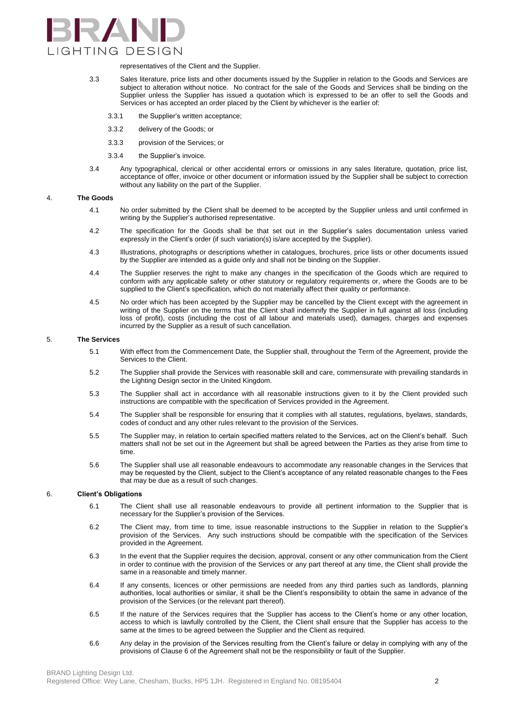

representatives of the Client and the Supplier.

- 3.3 Sales literature, price lists and other documents issued by the Supplier in relation to the Goods and Services are subject to alteration without notice. No contract for the sale of the Goods and Services shall be binding on the Supplier unless the Supplier has issued a quotation which is expressed to be an offer to sell the Goods and Services or has accepted an order placed by the Client by whichever is the earlier of:
	- 3.3.1 the Supplier's written acceptance;
	- 3.3.2 delivery of the Goods; or
	- 3.3.3 provision of the Services; or
	- 3.3.4 the Supplier's invoice.
- 3.4 Any typographical, clerical or other accidental errors or omissions in any sales literature, quotation, price list, acceptance of offer, invoice or other document or information issued by the Supplier shall be subject to correction without any liability on the part of the Supplier.

#### 4. **The Goods**

- 4.1 No order submitted by the Client shall be deemed to be accepted by the Supplier unless and until confirmed in writing by the Supplier's authorised representative.
- 4.2 The specification for the Goods shall be that set out in the Supplier's sales documentation unless varied expressly in the Client's order (if such variation(s) is/are accepted by the Supplier).
- 4.3 Illustrations, photographs or descriptions whether in catalogues, brochures, price lists or other documents issued by the Supplier are intended as a guide only and shall not be binding on the Supplier.
- 4.4 The Supplier reserves the right to make any changes in the specification of the Goods which are required to conform with any applicable safety or other statutory or regulatory requirements or, where the Goods are to be supplied to the Client's specification, which do not materially affect their quality or performance.
- 4.5 No order which has been accepted by the Supplier may be cancelled by the Client except with the agreement in writing of the Supplier on the terms that the Client shall indemnify the Supplier in full against all loss (including loss of profit), costs (including the cost of all labour and materials used), damages, charges and expenses incurred by the Supplier as a result of such cancellation.

#### 5. **The Services**

- 5.1 With effect from the Commencement Date, the Supplier shall, throughout the Term of the Agreement, provide the Services to the Client.
- 5.2 The Supplier shall provide the Services with reasonable skill and care, commensurate with prevailing standards in the Lighting Design sector in the United Kingdom.
- 5.3 The Supplier shall act in accordance with all reasonable instructions given to it by the Client provided such instructions are compatible with the specification of Services provided in the Agreement.
- 5.4 The Supplier shall be responsible for ensuring that it complies with all statutes, regulations, byelaws, standards, codes of conduct and any other rules relevant to the provision of the Services.
- 5.5 The Supplier may, in relation to certain specified matters related to the Services, act on the Client's behalf. Such matters shall not be set out in the Agreement but shall be agreed between the Parties as they arise from time to time.
- 5.6 The Supplier shall use all reasonable endeavours to accommodate any reasonable changes in the Services that may be requested by the Client, subject to the Client's acceptance of any related reasonable changes to the Fees that may be due as a result of such changes.

#### 6. **Client's Obligations**

- 6.1 The Client shall use all reasonable endeavours to provide all pertinent information to the Supplier that is necessary for the Supplier's provision of the Services.
- 6.2 The Client may, from time to time, issue reasonable instructions to the Supplier in relation to the Supplier's provision of the Services. Any such instructions should be compatible with the specification of the Services provided in the Agreement.
- 6.3 In the event that the Supplier requires the decision, approval, consent or any other communication from the Client in order to continue with the provision of the Services or any part thereof at any time, the Client shall provide the same in a reasonable and timely manner.
- 6.4 If any consents, licences or other permissions are needed from any third parties such as landlords, planning authorities, local authorities or similar, it shall be the Client's responsibility to obtain the same in advance of the provision of the Services (or the relevant part thereof).
- 6.5 If the nature of the Services requires that the Supplier has access to the Client's home or any other location, access to which is lawfully controlled by the Client, the Client shall ensure that the Supplier has access to the same at the times to be agreed between the Supplier and the Client as required.
- 6.6 Any delay in the provision of the Services resulting from the Client's failure or delay in complying with any of the provisions of Clause 6 of the Agreement shall not be the responsibility or fault of the Supplier.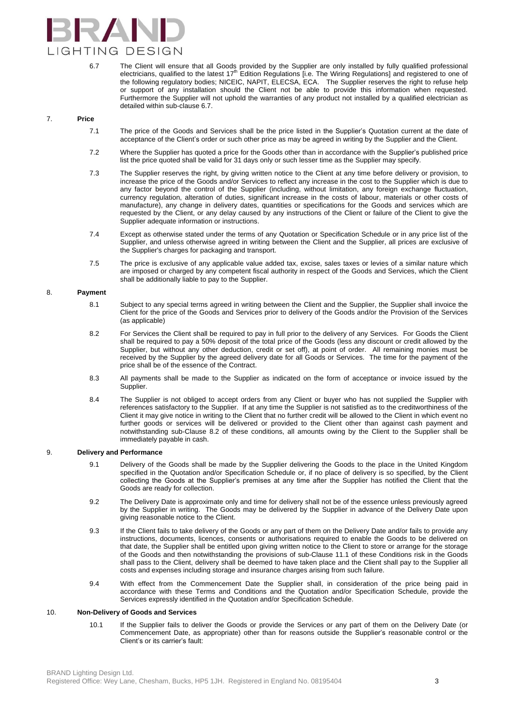

6.7 The Client will ensure that all Goods provided by the Supplier are only installed by fully qualified professional electricians, qualified to the latest  $17^{\text{th}}$  Edition Regulations [i.e. The Wiring Regulations] and registered to one of the following regulatory bodies; NICEIC, NAPIT, ELECSA, ECA. The Supplier reserves the right to refuse help or support of any installation should the Client not be able to provide this information when requested. Furthermore the Supplier will not uphold the warranties of any product not installed by a qualified electrician as detailed within sub-clause 6.7.

# 7. **Price**

- 7.1 The price of the Goods and Services shall be the price listed in the Supplier's Quotation current at the date of acceptance of the Client's order or such other price as may be agreed in writing by the Supplier and the Client.
- 7.2 Where the Supplier has quoted a price for the Goods other than in accordance with the Supplier's published price list the price quoted shall be valid for 31 days only or such lesser time as the Supplier may specify.
- 7.3 The Supplier reserves the right, by giving written notice to the Client at any time before delivery or provision, to increase the price of the Goods and/or Services to reflect any increase in the cost to the Supplier which is due to any factor beyond the control of the Supplier (including, without limitation, any foreign exchange fluctuation, currency regulation, alteration of duties, significant increase in the costs of labour, materials or other costs of manufacture), any change in delivery dates, quantities or specifications for the Goods and services which are requested by the Client, or any delay caused by any instructions of the Client or failure of the Client to give the Supplier adequate information or instructions.
- 7.4 Except as otherwise stated under the terms of any Quotation or Specification Schedule or in any price list of the Supplier, and unless otherwise agreed in writing between the Client and the Supplier, all prices are exclusive of the Supplier's charges for packaging and transport.
- 7.5 The price is exclusive of any applicable value added tax, excise, sales taxes or levies of a similar nature which are imposed or charged by any competent fiscal authority in respect of the Goods and Services, which the Client shall be additionally liable to pay to the Supplier.

# 8. **Payment**

- 8.1 Subject to any special terms agreed in writing between the Client and the Supplier, the Supplier shall invoice the Client for the price of the Goods and Services prior to delivery of the Goods and/or the Provision of the Services (as applicable)
- 8.2 For Services the Client shall be required to pay in full prior to the delivery of any Services. For Goods the Client shall be required to pay a 50% deposit of the total price of the Goods (less any discount or credit allowed by the Supplier, but without any other deduction, credit or set off), at point of order. All remaining monies must be received by the Supplier by the agreed delivery date for all Goods or Services. The time for the payment of the price shall be of the essence of the Contract.
- 8.3 All payments shall be made to the Supplier as indicated on the form of acceptance or invoice issued by the Supplier.
- 8.4 The Supplier is not obliged to accept orders from any Client or buyer who has not supplied the Supplier with references satisfactory to the Supplier. If at any time the Supplier is not satisfied as to the creditworthiness of the Client it may give notice in writing to the Client that no further credit will be allowed to the Client in which event no further goods or services will be delivered or provided to the Client other than against cash payment and notwithstanding sub-Clause 8.2 of these conditions, all amounts owing by the Client to the Supplier shall be immediately payable in cash.

### 9. **Delivery and Performance**

- 9.1 Delivery of the Goods shall be made by the Supplier delivering the Goods to the place in the United Kingdom specified in the Quotation and/or Specification Schedule or, if no place of delivery is so specified, by the Client collecting the Goods at the Supplier's premises at any time after the Supplier has notified the Client that the Goods are ready for collection.
- 9.2 The Delivery Date is approximate only and time for delivery shall not be of the essence unless previously agreed by the Supplier in writing. The Goods may be delivered by the Supplier in advance of the Delivery Date upon giving reasonable notice to the Client.
- 9.3 If the Client fails to take delivery of the Goods or any part of them on the Delivery Date and/or fails to provide any instructions, documents, licences, consents or authorisations required to enable the Goods to be delivered on that date, the Supplier shall be entitled upon giving written notice to the Client to store or arrange for the storage of the Goods and then notwithstanding the provisions of sub-Clause 11.1 of these Conditions risk in the Goods shall pass to the Client, delivery shall be deemed to have taken place and the Client shall pay to the Supplier all costs and expenses including storage and insurance charges arising from such failure.
- 9.4 With effect from the Commencement Date the Supplier shall, in consideration of the price being paid in accordance with these Terms and Conditions and the Quotation and/or Specification Schedule, provide the Services expressly identified in the Quotation and/or Specification Schedule.

#### 10. **Non-Delivery of Goods and Services**

10.1 If the Supplier fails to deliver the Goods or provide the Services or any part of them on the Delivery Date (or Commencement Date, as appropriate) other than for reasons outside the Supplier's reasonable control or the Client's or its carrier's fault: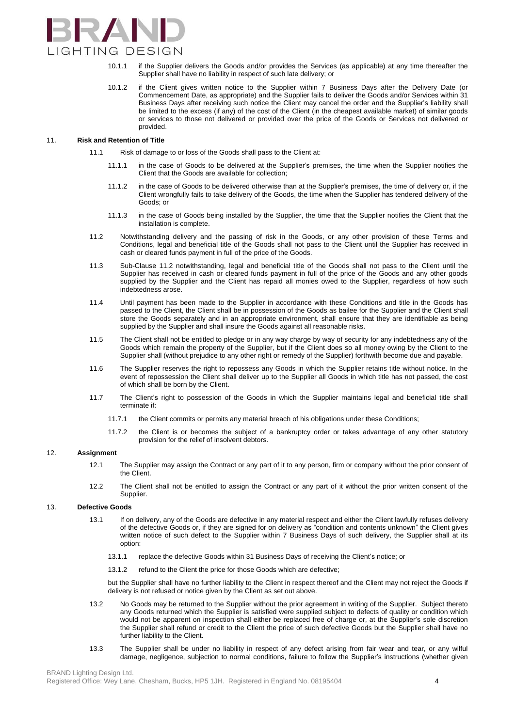

- 10.1.1 if the Supplier delivers the Goods and/or provides the Services (as applicable) at any time thereafter the Supplier shall have no liability in respect of such late delivery; or
- 10.1.2 if the Client gives written notice to the Supplier within 7 Business Days after the Delivery Date (or Commencement Date, as appropriate) and the Supplier fails to deliver the Goods and/or Services within 31 Business Days after receiving such notice the Client may cancel the order and the Supplier's liability shall be limited to the excess (if any) of the cost of the Client (in the cheapest available market) of similar goods or services to those not delivered or provided over the price of the Goods or Services not delivered or provided.

### 11. **Risk and Retention of Title**

- 11.1 Risk of damage to or loss of the Goods shall pass to the Client at:
	- 11.1.1 in the case of Goods to be delivered at the Supplier's premises, the time when the Supplier notifies the Client that the Goods are available for collection;
	- 11.1.2 in the case of Goods to be delivered otherwise than at the Supplier's premises, the time of delivery or, if the Client wrongfully fails to take delivery of the Goods, the time when the Supplier has tendered delivery of the Goods; or
	- 11.1.3 in the case of Goods being installed by the Supplier, the time that the Supplier notifies the Client that the installation is complete.
- 11.2 Notwithstanding delivery and the passing of risk in the Goods, or any other provision of these Terms and Conditions, legal and beneficial title of the Goods shall not pass to the Client until the Supplier has received in cash or cleared funds payment in full of the price of the Goods.
- 11.3 Sub-Clause 11.2 notwithstanding, legal and beneficial title of the Goods shall not pass to the Client until the Supplier has received in cash or cleared funds payment in full of the price of the Goods and any other goods supplied by the Supplier and the Client has repaid all monies owed to the Supplier, regardless of how such indebtedness arose.
- 11.4 Until payment has been made to the Supplier in accordance with these Conditions and title in the Goods has passed to the Client, the Client shall be in possession of the Goods as bailee for the Supplier and the Client shall store the Goods separately and in an appropriate environment, shall ensure that they are identifiable as being supplied by the Supplier and shall insure the Goods against all reasonable risks.
- 11.5 The Client shall not be entitled to pledge or in any way charge by way of security for any indebtedness any of the Goods which remain the property of the Supplier, but if the Client does so all money owing by the Client to the Supplier shall (without prejudice to any other right or remedy of the Supplier) forthwith become due and payable.
- 11.6 The Supplier reserves the right to repossess any Goods in which the Supplier retains title without notice. In the event of repossession the Client shall deliver up to the Supplier all Goods in which title has not passed, the cost of which shall be born by the Client.
- 11.7 The Client's right to possession of the Goods in which the Supplier maintains legal and beneficial title shall terminate if:
	- 11.7.1 the Client commits or permits any material breach of his obligations under these Conditions;
	- 11.7.2 the Client is or becomes the subject of a bankruptcy order or takes advantage of any other statutory provision for the relief of insolvent debtors.

#### 12. **Assignment**

- 12.1 The Supplier may assign the Contract or any part of it to any person, firm or company without the prior consent of the Client.
- 12.2 The Client shall not be entitled to assign the Contract or any part of it without the prior written consent of the Supplier.

# 13. **Defective Goods**

- 13.1 If on delivery, any of the Goods are defective in any material respect and either the Client lawfully refuses delivery of the defective Goods or, if they are signed for on delivery as "condition and contents unknown" the Client gives written notice of such defect to the Supplier within 7 Business Days of such delivery, the Supplier shall at its option:
	- 13.1.1 replace the defective Goods within 31 Business Days of receiving the Client's notice; or
	- 13.1.2 refund to the Client the price for those Goods which are defective;

but the Supplier shall have no further liability to the Client in respect thereof and the Client may not reject the Goods if delivery is not refused or notice given by the Client as set out above.

- 13.2 No Goods may be returned to the Supplier without the prior agreement in writing of the Supplier. Subject thereto any Goods returned which the Supplier is satisfied were supplied subject to defects of quality or condition which would not be apparent on inspection shall either be replaced free of charge or, at the Supplier's sole discretion the Supplier shall refund or credit to the Client the price of such defective Goods but the Supplier shall have no further liability to the Client.
- 13.3 The Supplier shall be under no liability in respect of any defect arising from fair wear and tear, or any wilful damage, negligence, subjection to normal conditions, failure to follow the Supplier's instructions (whether given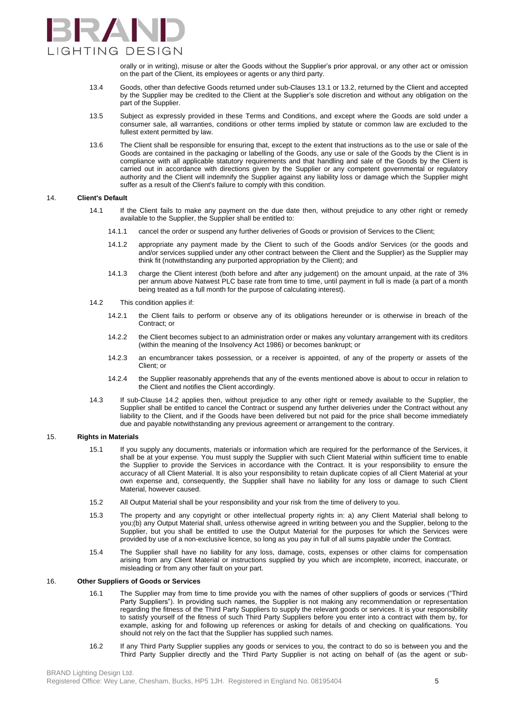

orally or in writing), misuse or alter the Goods without the Supplier's prior approval, or any other act or omission on the part of the Client, its employees or agents or any third party.

- 13.4 Goods, other than defective Goods returned under sub-Clauses 13.1 or 13.2, returned by the Client and accepted by the Supplier may be credited to the Client at the Supplier's sole discretion and without any obligation on the part of the Supplier.
- 13.5 Subject as expressly provided in these Terms and Conditions, and except where the Goods are sold under a consumer sale, all warranties, conditions or other terms implied by statute or common law are excluded to the fullest extent permitted by law.
- 13.6 The Client shall be responsible for ensuring that, except to the extent that instructions as to the use or sale of the Goods are contained in the packaging or labelling of the Goods, any use or sale of the Goods by the Client is in compliance with all applicable statutory requirements and that handling and sale of the Goods by the Client is carried out in accordance with directions given by the Supplier or any competent governmental or regulatory authority and the Client will indemnify the Supplier against any liability loss or damage which the Supplier might suffer as a result of the Client's failure to comply with this condition.

#### 14. **Client's Default**

- 14.1 If the Client fails to make any payment on the due date then, without prejudice to any other right or remedy available to the Supplier, the Supplier shall be entitled to:
	- 14.1.1 cancel the order or suspend any further deliveries of Goods or provision of Services to the Client;
	- 14.1.2 appropriate any payment made by the Client to such of the Goods and/or Services (or the goods and and/or services supplied under any other contract between the Client and the Supplier) as the Supplier may think fit (notwithstanding any purported appropriation by the Client); and
	- 14.1.3 charge the Client interest (both before and after any judgement) on the amount unpaid, at the rate of 3% per annum above Natwest PLC base rate from time to time, until payment in full is made (a part of a month being treated as a full month for the purpose of calculating interest).
- 14.2 This condition applies if:
	- 14.2.1 the Client fails to perform or observe any of its obligations hereunder or is otherwise in breach of the Contract; or
	- 14.2.2 the Client becomes subject to an administration order or makes any voluntary arrangement with its creditors (within the meaning of the Insolvency Act 1986) or becomes bankrupt; or
	- 14.2.3 an encumbrancer takes possession, or a receiver is appointed, of any of the property or assets of the Client; or
	- 14.2.4 the Supplier reasonably apprehends that any of the events mentioned above is about to occur in relation to the Client and notifies the Client accordingly.
- 14.3 If sub-Clause 14.2 applies then, without prejudice to any other right or remedy available to the Supplier, the Supplier shall be entitled to cancel the Contract or suspend any further deliveries under the Contract without any liability to the Client, and if the Goods have been delivered but not paid for the price shall become immediately due and payable notwithstanding any previous agreement or arrangement to the contrary.

#### 15. **Rights in Materials**

- 15.1 If you supply any documents, materials or information which are required for the performance of the Services, it shall be at your expense. You must supply the Supplier with such Client Material within sufficient time to enable the Supplier to provide the Services in accordance with the Contract. It is your responsibility to ensure the accuracy of all Client Material. It is also your responsibility to retain duplicate copies of all Client Material at your own expense and, consequently, the Supplier shall have no liability for any loss or damage to such Client Material, however caused.
- 15.2 All Output Material shall be your responsibility and your risk from the time of delivery to you.
- 15.3 The property and any copyright or other intellectual property rights in: a) any Client Material shall belong to you;(b) any Output Material shall, unless otherwise agreed in writing between you and the Supplier, belong to the Supplier, but you shall be entitled to use the Output Material for the purposes for which the Services were provided by use of a non-exclusive licence, so long as you pay in full of all sums payable under the Contract.
- 15.4 The Supplier shall have no liability for any loss, damage, costs, expenses or other claims for compensation arising from any Client Material or instructions supplied by you which are incomplete, incorrect, inaccurate, or misleading or from any other fault on your part.

# 16. **Other Suppliers of Goods or Services**

- 16.1 The Supplier may from time to time provide you with the names of other suppliers of goods or services ("Third Party Suppliers"). In providing such names, the Supplier is not making any recommendation or representation regarding the fitness of the Third Party Suppliers to supply the relevant goods or services. It is your responsibility to satisfy yourself of the fitness of such Third Party Suppliers before you enter into a contract with them by, for example, asking for and following up references or asking for details of and checking on qualifications. You should not rely on the fact that the Supplier has supplied such names.
- 16.2 If any Third Party Supplier supplies any goods or services to you, the contract to do so is between you and the Third Party Supplier directly and the Third Party Supplier is not acting on behalf of (as the agent or sub-